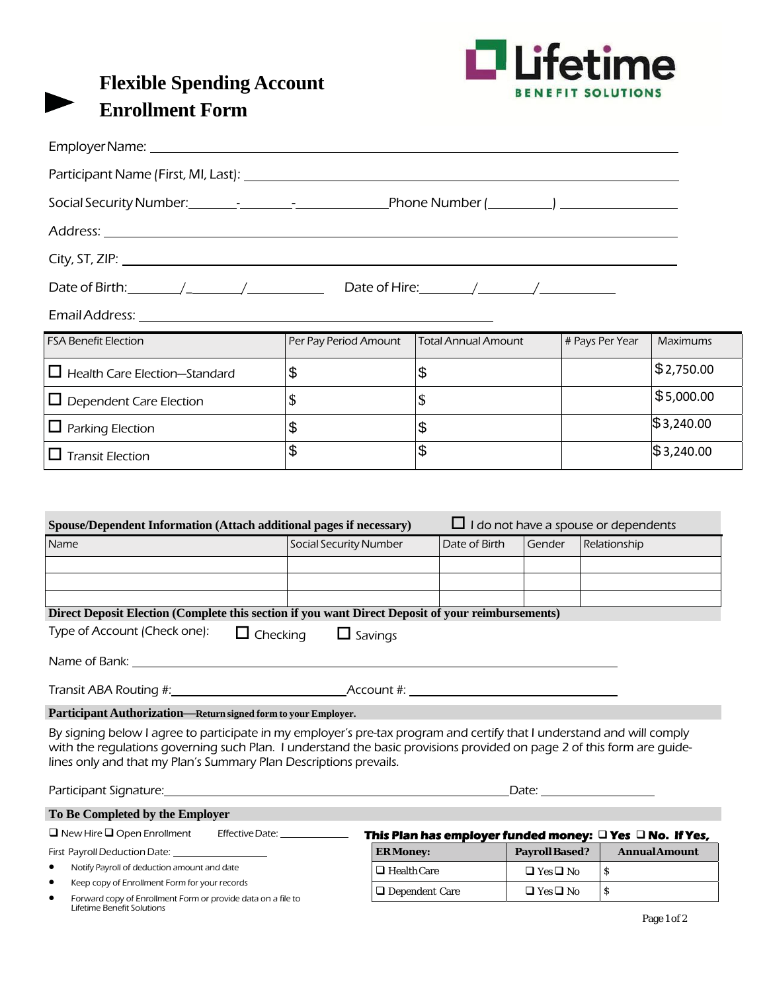

| <b>Flexible Spending Account</b> |
|----------------------------------|
| <b>Enrollment Form</b>           |

| Date of Birth: $\frac{1}{2}$ $\frac{1}{2}$ $\frac{1}{2}$ Date of Hire: $\frac{1}{2}$ $\frac{1}{2}$                                                                                                                                                                                                                    |                                   |                           |                                                                    |                      |                         |                      |
|-----------------------------------------------------------------------------------------------------------------------------------------------------------------------------------------------------------------------------------------------------------------------------------------------------------------------|-----------------------------------|---------------------------|--------------------------------------------------------------------|----------------------|-------------------------|----------------------|
| Email Address: Email Address:                                                                                                                                                                                                                                                                                         |                                   |                           |                                                                    |                      |                         |                      |
| <b>FSA Benefit Election</b>                                                                                                                                                                                                                                                                                           | Per Pay Period Amount             |                           | <b>Total Annual Amount</b>                                         |                      | # Pays Per Year         | Maximums             |
| $\Box$ Health Care Election-Standard                                                                                                                                                                                                                                                                                  | \$                                | \$                        |                                                                    |                      |                         | \$2,750.00           |
| $\Box$ Dependent Care Election                                                                                                                                                                                                                                                                                        | \$                                | $\mathcal{S}$             |                                                                    |                      |                         | \$5,000.00           |
| $\Box$ Parking Election                                                                                                                                                                                                                                                                                               | \$                                |                           | \$                                                                 |                      |                         | \$3,240.00           |
| $\Box$ Transit Election                                                                                                                                                                                                                                                                                               | \$                                | $\boldsymbol{\mathsf{S}}$ |                                                                    |                      |                         | \$3,240.00           |
|                                                                                                                                                                                                                                                                                                                       |                                   |                           |                                                                    |                      |                         |                      |
|                                                                                                                                                                                                                                                                                                                       |                                   |                           |                                                                    |                      |                         |                      |
| Direct Deposit Election (Complete this section if you want Direct Deposit of your reimbursements)<br>Type of Account (Check one):                                                                                                                                                                                     |                                   |                           |                                                                    |                      |                         |                      |
|                                                                                                                                                                                                                                                                                                                       | $\Box$ Checking<br>$\Box$ Savings |                           |                                                                    |                      |                         |                      |
|                                                                                                                                                                                                                                                                                                                       |                                   |                           |                                                                    |                      |                         |                      |
| Transit ABA Routing #: Notified that the Account #:                                                                                                                                                                                                                                                                   |                                   |                           |                                                                    |                      |                         |                      |
| Participant Authorization-Return signed form to your Employer.                                                                                                                                                                                                                                                        |                                   |                           |                                                                    |                      |                         |                      |
| By signing below I agree to participate in my employer's pre-tax program and certify that I understand and will comply<br>with the regulations governing such Plan. I understand the basic provisions provided on page 2 of this form are guide-<br>lines only and that my Plan's Summary Plan Descriptions prevails. |                                   |                           |                                                                    |                      |                         |                      |
|                                                                                                                                                                                                                                                                                                                       |                                   |                           |                                                                    |                      | Date: <u>University</u> |                      |
| To Be Completed by the Employer                                                                                                                                                                                                                                                                                       |                                   |                           |                                                                    |                      |                         |                      |
| $\Box$ New Hire $\Box$ Open Enrollment                                                                                                                                                                                                                                                                                | Effective Date: ______________    |                           | This Plan has employer funded money: $\Box$ Yes $\Box$ No. If Yes, |                      |                         |                      |
| First Payroll Deduction Date: 1988                                                                                                                                                                                                                                                                                    |                                   | <b>ERMoney:</b>           |                                                                    | <b>PayrollBased?</b> |                         | <b>Annual Amount</b> |
| Notify Payroll of deduction amount and date<br>Keep copy of Enrollment Form for your records                                                                                                                                                                                                                          |                                   | $\Box$ Health Care        |                                                                    | $\Box$ Yes $\Box$ No | \$                      |                      |
|                                                                                                                                                                                                                                                                                                                       |                                   | □ Dependent Care          |                                                                    | $\Box$ Yes $\Box$ No | \$                      |                      |

Forward copy of Enrollment Form or provide data on a file to Lifetime Benefit Solutions